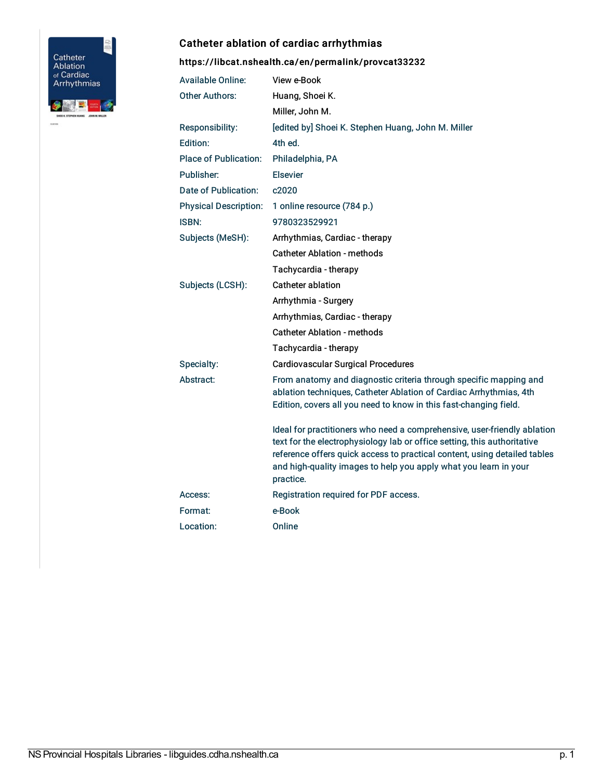

## Catheter ablation of cardiac arrhythmias

## <https://libcat.nshealth.ca/en/permalink/provcat33232>

| <b>Available Online:</b>     | View e-Book                                                                                                                                                                                                                                                                                                        |
|------------------------------|--------------------------------------------------------------------------------------------------------------------------------------------------------------------------------------------------------------------------------------------------------------------------------------------------------------------|
| <b>Other Authors:</b>        | Huang, Shoei K.                                                                                                                                                                                                                                                                                                    |
|                              | Miller, John M.                                                                                                                                                                                                                                                                                                    |
| Responsibility:              | [edited by] Shoei K. Stephen Huang, John M. Miller                                                                                                                                                                                                                                                                 |
| Edition:                     | 4th ed.                                                                                                                                                                                                                                                                                                            |
| <b>Place of Publication:</b> | Philadelphia, PA                                                                                                                                                                                                                                                                                                   |
| Publisher:                   | <b>Elsevier</b>                                                                                                                                                                                                                                                                                                    |
| Date of Publication:         | c2020                                                                                                                                                                                                                                                                                                              |
| <b>Physical Description:</b> | 1 online resource (784 p.)                                                                                                                                                                                                                                                                                         |
| <b>ISBN:</b>                 | 9780323529921                                                                                                                                                                                                                                                                                                      |
| Subjects (MeSH):             | Arrhythmias, Cardiac - therapy                                                                                                                                                                                                                                                                                     |
|                              | <b>Catheter Ablation - methods</b>                                                                                                                                                                                                                                                                                 |
|                              | Tachycardia - therapy                                                                                                                                                                                                                                                                                              |
| Subjects (LCSH):             | Catheter ablation                                                                                                                                                                                                                                                                                                  |
|                              | Arrhythmia - Surgery                                                                                                                                                                                                                                                                                               |
|                              | Arrhythmias, Cardiac - therapy                                                                                                                                                                                                                                                                                     |
|                              | <b>Catheter Ablation - methods</b>                                                                                                                                                                                                                                                                                 |
|                              | Tachycardia - therapy                                                                                                                                                                                                                                                                                              |
| Specialty:                   | <b>Cardiovascular Surgical Procedures</b>                                                                                                                                                                                                                                                                          |
| Abstract:                    | From anatomy and diagnostic criteria through specific mapping and<br>ablation techniques, Catheter Ablation of Cardiac Arrhythmias, 4th<br>Edition, covers all you need to know in this fast-changing field.                                                                                                       |
|                              | Ideal for practitioners who need a comprehensive, user-friendly ablation<br>text for the electrophysiology lab or office setting, this authoritative<br>reference offers quick access to practical content, using detailed tables<br>and high-quality images to help you apply what you learn in your<br>practice. |
| Access:                      | Registration required for PDF access.                                                                                                                                                                                                                                                                              |
| Format:                      | e-Book                                                                                                                                                                                                                                                                                                             |
| Location:                    | Online                                                                                                                                                                                                                                                                                                             |